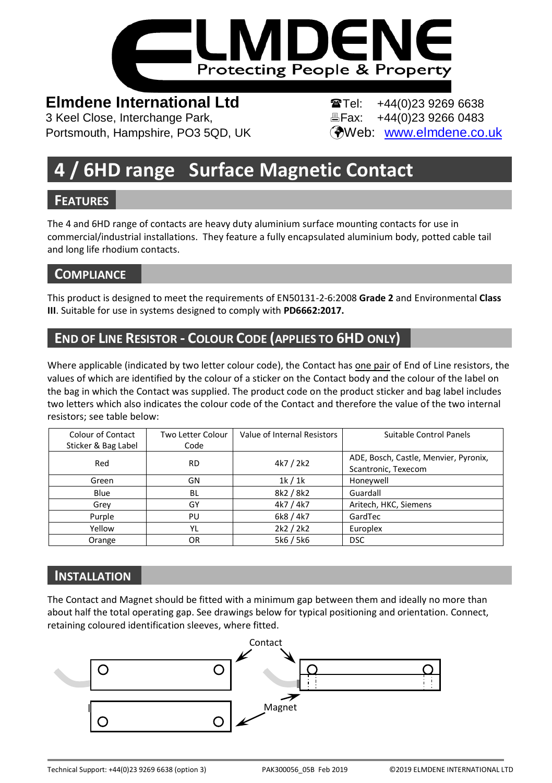

# **Elmdene International Ltd Tel:** +44(0)23 9269 6638

3 Keel Close, Interchange Park, Fax: +44(0)23 9266 0483 Portsmouth, Hampshire, PO3 5QD, UK (Web: [www.elmdene.co.uk](http://www.elmdene.co.uk/)

# **4 / 6HD range Surface Magnetic Contact**

## **FEATURES**

The 4 and 6HD range of contacts are heavy duty aluminium surface mounting contacts for use in commercial/industrial installations. They feature a fully encapsulated aluminium body, potted cable tail and long life rhodium contacts.

## **COMPLIANCE**

This product is designed to meet the requirements of EN50131-2-6:2008 **Grade 2** and Environmental **Class III**. Suitable for use in systems designed to comply with **PD6662:2017.**

# **END OF LINE RESISTOR - COLOUR CODE (APPLIES TO 6HD ONLY)**

Where applicable (indicated by two letter colour code), the Contact has one pair of End of Line resistors, the values of which are identified by the colour of a sticker on the Contact body and the colour of the label on the bag in which the Contact was supplied. The product code on the product sticker and bag label includes two letters which also indicates the colour code of the Contact and therefore the value of the two internal resistors; see table below:

| Colour of Contact<br>Sticker & Bag Label | Two Letter Colour<br>Code | Value of Internal Resistors | Suitable Control Panels                                      |
|------------------------------------------|---------------------------|-----------------------------|--------------------------------------------------------------|
| Red                                      | <b>RD</b>                 | 4k7 / 2k2                   | ADE, Bosch, Castle, Menvier, Pyronix,<br>Scantronic, Texecom |
| Green                                    | GN                        | 1k/1k                       | Honeywell                                                    |
| Blue                                     | BL                        | 8k2 / 8k2                   | Guardall                                                     |
| Grey                                     | GY                        | 4k7 / 4k7                   | Aritech, HKC, Siemens                                        |
| Purple                                   | PU                        | 6k8 / 4k7                   | GardTec                                                      |
| Yellow                                   | YL                        | 2k2 / 2k2                   | Europlex                                                     |
| Orange                                   | OR                        | 5k6 / 5k6                   | <b>DSC</b>                                                   |

## **INSTALLATION**

The Contact and Magnet should be fitted with a minimum gap between them and ideally no more than about half the total operating gap. See drawings below for typical positioning and orientation. Connect, retaining coloured identification sleeves, where fitted.

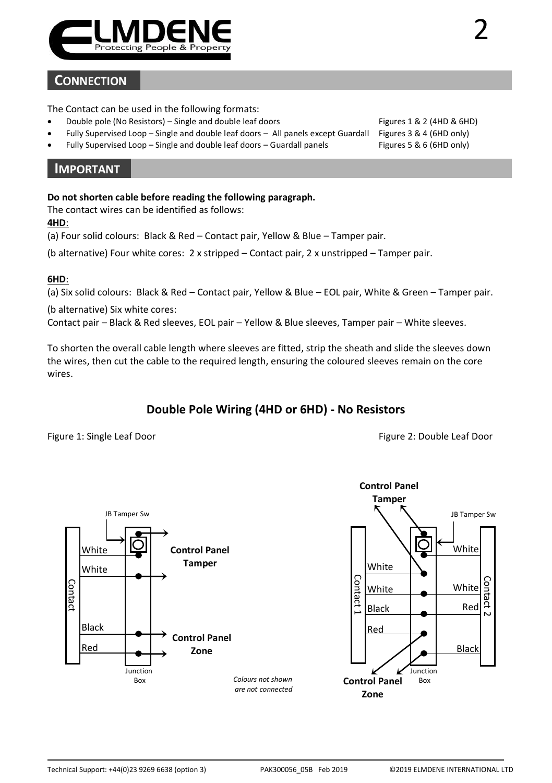

### **CONNECTION**

The Contact can be used in the following formats:

- Double pole (No Resistors) Single and double leaf doors Figures 1 & 2 (4HD & 6HD)
- Fully Supervised Loop Single and double leaf doors All panels except Guardall Figures 3 & 4 (6HD only)
- Fully Supervised Loop Single and double leaf doors Guardall panels

#### **IMPORTANT**

#### **Do not shorten cable before reading the following paragraph.**

The contact wires can be identified as follows:

#### **4HD**:

(a) Four solid colours: Black & Red – Contact pair, Yellow & Blue – Tamper pair.

(b alternative) Four white cores: 2 x stripped – Contact pair, 2 x unstripped – Tamper pair.

#### **6HD**:

(a) Six solid colours: Black & Red – Contact pair, Yellow & Blue – EOL pair, White & Green – Tamper pair.

(b alternative) Six white cores:

Contact pair – Black & Red sleeves, EOL pair – Yellow & Blue sleeves, Tamper pair – White sleeves.

To shorten the overall cable length where sleeves are fitted, strip the sheath and slide the sleeves down the wires, then cut the cable to the required length, ensuring the coloured sleeves remain on the core wires.

#### **Double Pole Wiring (4HD or 6HD) - No Resistors**

#### Figure 1: Single Leaf Door **Figure 2: Double Leaf Door** Figure 2: Double Leaf Door

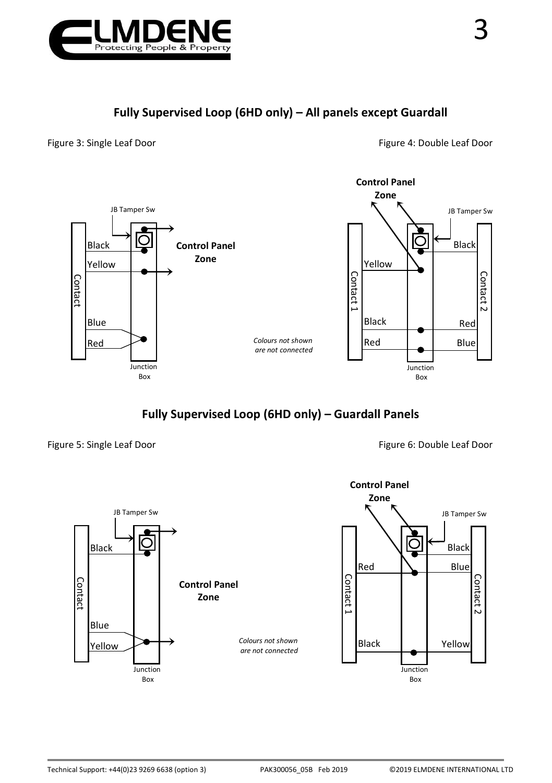

Figure 3: Single Leaf Door **Figure 4: Double Leaf Door** Figure 4: Double Leaf Door



**Fully Supervised Loop (6HD only) – Guardall Panels**

Figure 5: Single Leaf Door **Figure 6: Double Leaf Door** Figure 6: Double Leaf Door